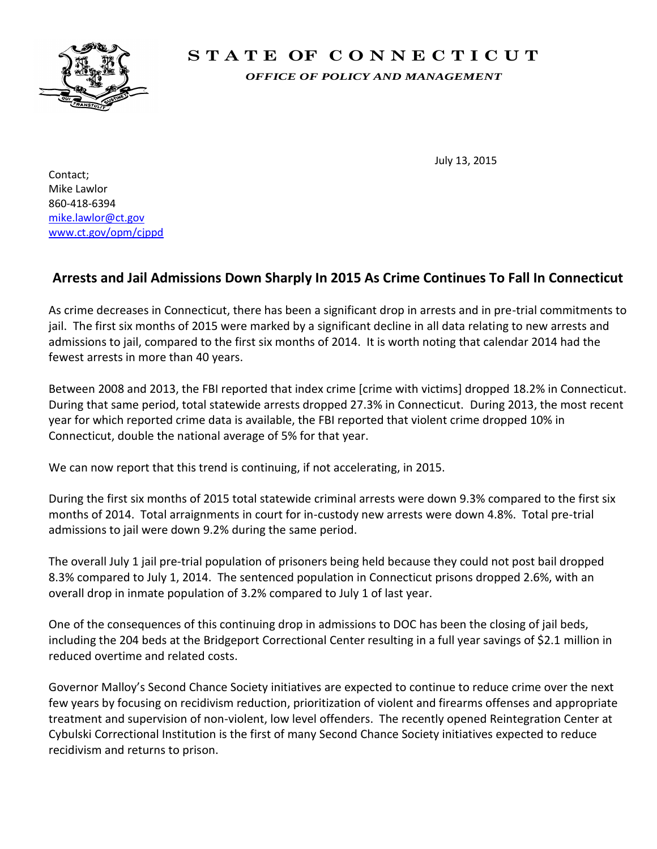

## **S T A T E OF C O N N E C T I C U T**

*OFFICE OF POLICY AND MANAGEMENT*

July 13, 2015

Contact; Mike Lawlor 860-418-6394 [mike.lawlor@ct.gov](mailto:mike.lawlor@ct.gov) [www.ct.gov/opm/cjppd](http://www.ct.gov/opm/cjppd)

## **Arrests and Jail Admissions Down Sharply In 2015 As Crime Continues To Fall In Connecticut**

As crime decreases in Connecticut, there has been a significant drop in arrests and in pre-trial commitments to jail. The first six months of 2015 were marked by a significant decline in all data relating to new arrests and admissions to jail, compared to the first six months of 2014. It is worth noting that calendar 2014 had the fewest arrests in more than 40 years.

Between 2008 and 2013, the FBI reported that index crime [crime with victims] dropped 18.2% in Connecticut. During that same period, total statewide arrests dropped 27.3% in Connecticut. During 2013, the most recent year for which reported crime data is available, the FBI reported that violent crime dropped 10% in Connecticut, double the national average of 5% for that year.

We can now report that this trend is continuing, if not accelerating, in 2015.

During the first six months of 2015 total statewide criminal arrests were down 9.3% compared to the first six months of 2014. Total arraignments in court for in-custody new arrests were down 4.8%. Total pre-trial admissions to jail were down 9.2% during the same period.

The overall July 1 jail pre-trial population of prisoners being held because they could not post bail dropped 8.3% compared to July 1, 2014. The sentenced population in Connecticut prisons dropped 2.6%, with an overall drop in inmate population of 3.2% compared to July 1 of last year.

One of the consequences of this continuing drop in admissions to DOC has been the closing of jail beds, including the 204 beds at the Bridgeport Correctional Center resulting in a full year savings of \$2.1 million in reduced overtime and related costs.

Governor Malloy's Second Chance Society initiatives are expected to continue to reduce crime over the next few years by focusing on recidivism reduction, prioritization of violent and firearms offenses and appropriate treatment and supervision of non-violent, low level offenders. The recently opened Reintegration Center at Cybulski Correctional Institution is the first of many Second Chance Society initiatives expected to reduce recidivism and returns to prison.